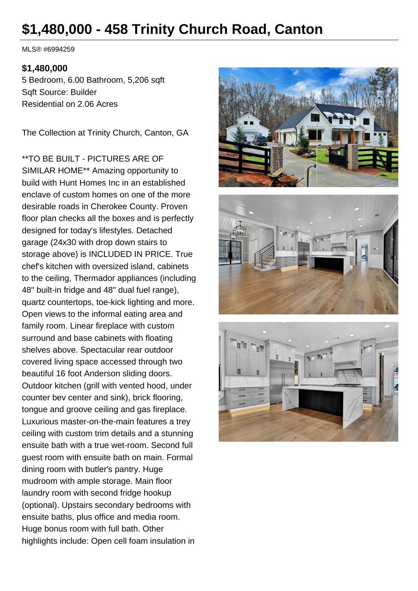# **\$1,480,000 - 458 Trinity Church Road, Canton**

MLS® #6994259

#### **\$1,480,000**

5 Bedroom, 6.00 Bathroom, 5,206 sqft Sqft Source: Builder Residential on 2.06 Acres

The Collection at Trinity Church, Canton, GA

\*\*TO BE BUILT - PICTURES ARE OF SIMILAR HOME\*\* Amazing opportunity to build with Hunt Homes Inc in an established enclave of custom homes on one of the more desirable roads in Cherokee County. Proven floor plan checks all the boxes and is perfectly designed for today's lifestyles. Detached garage (24x30 with drop down stairs to storage above) is INCLUDED IN PRICE. True chef's kitchen with oversized island, cabinets to the ceiling, Thermador appliances (including 48" built-in fridge and 48" dual fuel range), quartz countertops, toe-kick lighting and more. Open views to the informal eating area and family room. Linear fireplace with custom surround and base cabinets with floating shelves above. Spectacular rear outdoor covered living space accessed through two beautiful 16 foot Anderson sliding doors. Outdoor kitchen (grill with vented hood, under counter bev center and sink), brick flooring, tongue and groove ceiling and gas fireplace. Luxurious master-on-the-main features a trey ceiling with custom trim details and a stunning ensuite bath with a true wet-room. Second full guest room with ensuite bath on main. Formal dining room with butler's pantry. Huge mudroom with ample storage. Main floor laundry room with second fridge hookup (optional). Upstairs secondary bedrooms with ensuite baths, plus office and media room. Huge bonus room with full bath. Other highlights include: Open cell foam insulation in





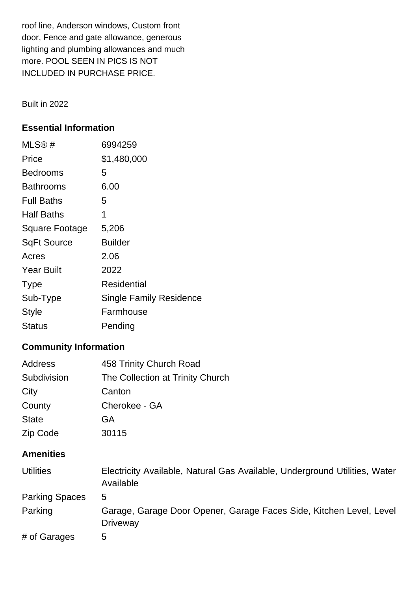roof line, Anderson windows, Custom front door, Fence and gate allowance, generous lighting and plumbing allowances and much more. POOL SEEN IN PICS IS NOT INCLUDED IN PURCHASE PRICE.

Built in 2022

### **Essential Information**

| MLS®#              | 6994259                        |
|--------------------|--------------------------------|
| Price              | \$1,480,000                    |
| <b>Bedrooms</b>    | 5                              |
| Bathrooms          | 6.00                           |
| <b>Full Baths</b>  | 5                              |
| <b>Half Baths</b>  | 1                              |
| Square Footage     | 5,206                          |
| <b>SqFt Source</b> | <b>Builder</b>                 |
| Acres              | 2.06                           |
| <b>Year Built</b>  | 2022                           |
| <b>Type</b>        | Residential                    |
| Sub-Type           | <b>Single Family Residence</b> |
| <b>Style</b>       | Farmhouse                      |
| Status             | Pending                        |

## **Community Information**

| Address      | 458 Trinity Church Road          |
|--------------|----------------------------------|
| Subdivision  | The Collection at Trinity Church |
| City         | Canton                           |
| County       | Cherokee - GA                    |
| <b>State</b> | GA                               |
| Zip Code     | 30115                            |
|              |                                  |

## **Amenities**

| <b>Utilities</b>      | Electricity Available, Natural Gas Available, Underground Utilities, Water<br>Available |
|-----------------------|-----------------------------------------------------------------------------------------|
| <b>Parking Spaces</b> | 5                                                                                       |
| Parking               | Garage, Garage Door Opener, Garage Faces Side, Kitchen Level, Level<br><b>Driveway</b>  |
| # of Garages          | 5                                                                                       |